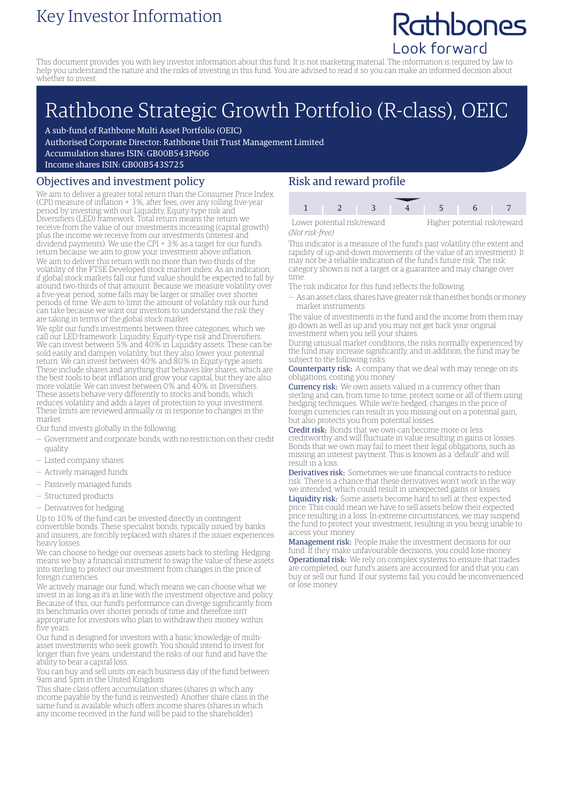## Key Investor Information

# Rathbones Look forward

This document provides you with key investor information about this fund. It is not marketing material. The information is required by law to help you understand the nature and the risks of investing in this fund. You are advised to read it so you can make an informed decision about whether to invest.

# Rathbone Strategic Growth Portfolio (R-class), OEIC

A sub-fund of Rathbone Multi Asset Portfolio (OEIC)

Authorised Corporate Director: Rathbone Unit Trust Management Limited

Accumulation shares ISIN: GB00B543P606

Income shares ISIN: GB00B543S725

#### Objectives and investment policy

We aim to deliver a greater total return than the Consumer Price Index (CPI) measure of inflation + 3%, after fees, over any rolling five-year period by investing with our Liquidity, Equity-type risk and Diversifiers (LED) framework. Total return means the return we receive from the value of our investments increasing (capital growth) plus the income we receive from our investments (interest and dividend payments). We use the CPI + 3% as a target for our fund's return because we aim to grow your investment above inflation. We aim to deliver this return with no more than two-thirds of the volatility of the FTSE Developed stock market index. As an indication, if global stock markets fall our fund value should be expected to fall by around two-thirds of that amount. Because we measure volatility over a five-year period, some falls may be larger or smaller over shorter periods of time. We aim to limit the amount of volatility risk our fund can take because we want our investors to understand the risk they are taking in terms of the global stock market.

We split our fund's investments between three categories, which we call our LED framework: Liquidity, Equity-type risk and Diversifiers. We can invest between 5% and 40% in Liquidity assets. These can be sold easily and dampen volatility, but they also lower your potential return. We can invest between 40% and 80% in Equity-type assets. These include shares and anything that behaves like shares, which are the best tools to beat inflation and grow your capital, but they are also more volatile. We can invest between 0% and 40% in Diversifiers. These assets behave very differently to stocks and bonds, which reduces volatility and adds a layer of protection to your investment. These limits are reviewed annually or in response to changes in the market.

Our fund invests globally in the following:

- Government and corporate bonds, with no restriction on their credit quality
- Listed company shares
- Actively managed funds
- Passively managed funds
- Structured products
- Derivatives for hedging

Up to 10% of the fund can be invested directly in contingent convertible bonds. These specialist bonds, typically issued by banks and insurers, are forcibly replaced with shares if the issuer experiences heavy losses.

We can choose to hedge our overseas assets back to sterling. Hedging means we buy a financial instrument to swap the value of these assets into sterling to protect our investment from changes in the price of foreign currencies.

We actively manage our fund, which means we can choose what we invest in as long as it's in line with the investment objective and policy. Because of this, our fund's performance can diverge significantly from its benchmarks over shorter periods of time and therefore isn't appropriate for investors who plan to withdraw their money within five years.

Our fund is designed for investors with a basic knowledge of multiasset investments who seek growth. You should intend to invest for longer than five years, understand the risks of our fund and have the ability to bear a capital loss.

You can buy and sell units on each business day of the fund between 9am and 5pm in the United Kingdom.

This share class offers accumulation shares (shares in which any income payable by the fund is reinvested). Another share class in the same fund is available which offers income shares (shares in which any income received in the fund will be paid to the shareholder).

### Risk and reward profile

| Lower potential risk/reward |  |  | Higher potential risk/reward |  |  |
|-----------------------------|--|--|------------------------------|--|--|
| (Not risk-free)             |  |  |                              |  |  |

This indicator is a measure of the fund's past volatility (the extent and rapidity of up-and-down movements of the value of an investment). It may not be a reliable indication of the fund's future risk. The risk category shown is not a target or a guarantee and may change over time.

- The risk indicator for this fund reflects the following:
- As an asset class, shares have greater risk than either bonds ormoney market instruments.

The value of investments in the fund and the income from them may go down as well as up and you may not get back your original investment when you sell your shares.

During unusual market conditions, the risks normally experienced by the fund may increase significantly, and in addition, the fund may be subject to the following risks:

Counterparty risk: A company that we deal with may renege on its obligations, costing you money.

Currency risk: We own assets valued in a currency other than sterling and can, from time to time, protect some or all of them using hedging techniques. While we're hedged, changes in the price of foreign currencies can result in you missing out on a potential gain, but also protects you from potential losses.

Credit risk: Bonds that we own can become more or less creditworthy and will fluctuate in value resulting in gains or losses. Bonds that we own may fail to meet their legal obligations, such as missing an interest payment. This is known as a 'default' and will result in a loss.

Derivatives risk: Sometimes we use financial contracts to reduce risk. There is a chance that these derivatives won't work in the way we intended, which could result in unexpected gains or losses. Liquidity risk: Some assets become hard to sell at their expected price. This could mean we have to sell assets below their expected price resulting in a loss. In extreme circumstances, we may suspend the fund to protect your investment, resulting in you being unable to access your money.

Management risk: People make the investment decisions for our fund. If they make unfavourable decisions, you could lose money. Operational risk: We rely on complex systems to ensure that trades are completed, our fund's assets are accounted for and that you can buy or sell our fund. If our systems fail, you could be inconvenienced or lose money.